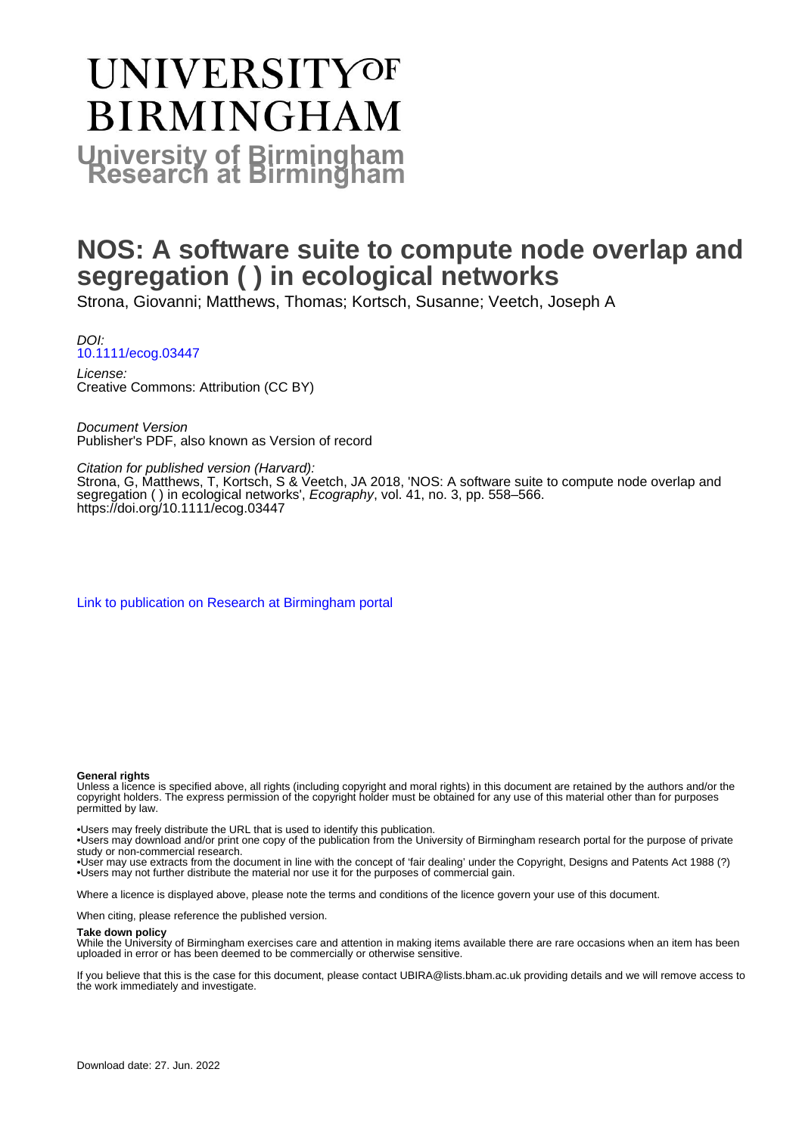# **UNIVERSITYOF BIRMINGHAM University of Birmingham**

# **NOS: A software suite to compute node overlap and segregation ( ) in ecological networks**

Strona, Giovanni; Matthews, Thomas; Kortsch, Susanne; Veetch, Joseph A

DOI: [10.1111/ecog.03447](https://doi.org/10.1111/ecog.03447)

License: Creative Commons: Attribution (CC BY)

Document Version Publisher's PDF, also known as Version of record

Citation for published version (Harvard):

Strona, G, Matthews, T, Kortsch, S & Veetch, JA 2018, 'NOS: A software suite to compute node overlap and segregation ( ) in ecological networks', Ecography, vol. 41, no. 3, pp. 558–566. <https://doi.org/10.1111/ecog.03447>

[Link to publication on Research at Birmingham portal](https://birmingham.elsevierpure.com/en/publications/2ab41e8d-be2b-4a32-840f-81944d2dd63c)

#### **General rights**

Unless a licence is specified above, all rights (including copyright and moral rights) in this document are retained by the authors and/or the copyright holders. The express permission of the copyright holder must be obtained for any use of this material other than for purposes permitted by law.

• Users may freely distribute the URL that is used to identify this publication.

• Users may download and/or print one copy of the publication from the University of Birmingham research portal for the purpose of private study or non-commercial research.

• User may use extracts from the document in line with the concept of 'fair dealing' under the Copyright, Designs and Patents Act 1988 (?) • Users may not further distribute the material nor use it for the purposes of commercial gain.

Where a licence is displayed above, please note the terms and conditions of the licence govern your use of this document.

When citing, please reference the published version.

#### **Take down policy**

While the University of Birmingham exercises care and attention in making items available there are rare occasions when an item has been uploaded in error or has been deemed to be commercially or otherwise sensitive.

If you believe that this is the case for this document, please contact UBIRA@lists.bham.ac.uk providing details and we will remove access to the work immediately and investigate.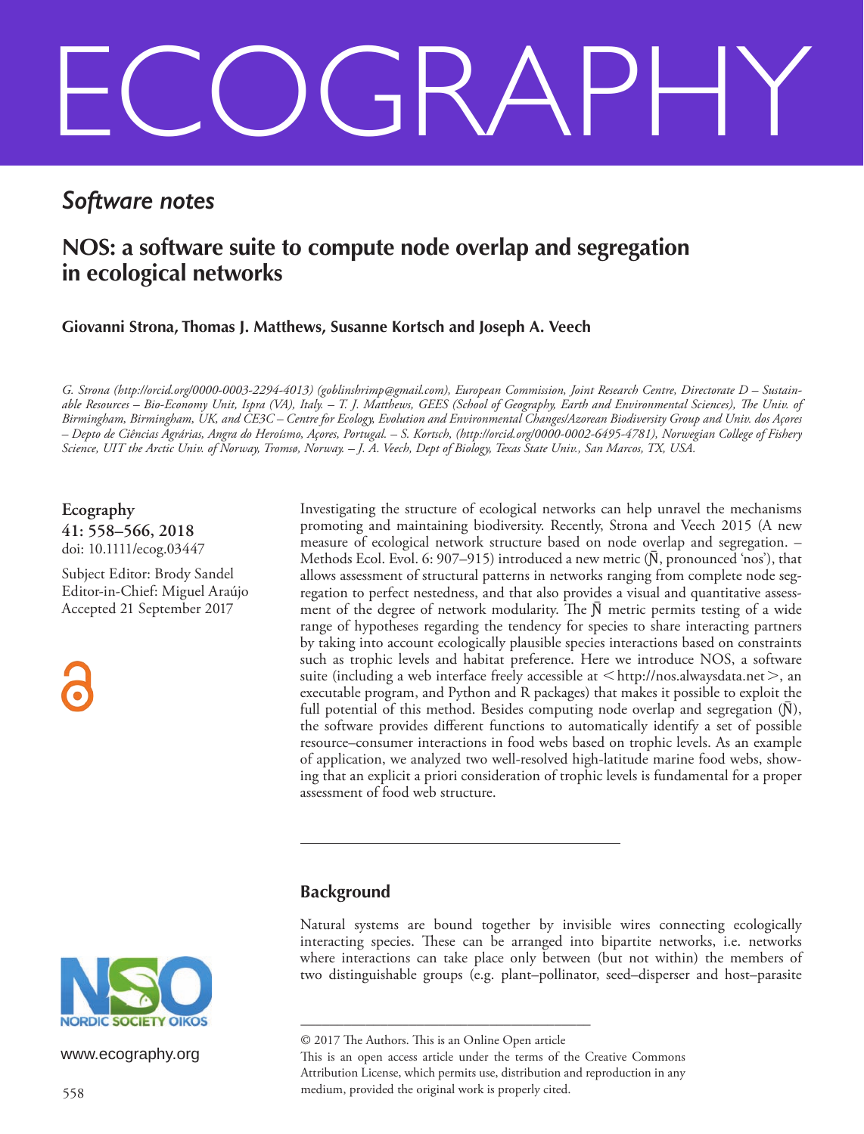# ECOGRAPHY

## *Software notes*

## **NOS: a software suite to compute node overlap and segregation in ecological networks**

**Giovanni Strona, Thomas J. Matthews, Susanne Kortsch and Joseph A. Veech**

*G. Strona (http://orcid.org/0000-0003-2294-4013) (goblinshrimp@gmail.com), European Commission, Joint Research Centre, Directorate D – Sustainable Resources – Bio-Economy Unit, Ispra (VA), Italy. – T. J. Matthews, GEES (School of Geography, Earth and Environmental Sciences), The Univ. of Birmingham, Birmingham, UK, and CE3C – Centre for Ecology, Evolution and Environmental Changes/Azorean Biodiversity Group and Univ. dos Açores – Depto de Ciências Agrárias, Angra do Heroísmo, Açores, Portugal. – S. Kortsch, (http://orcid.org/0000-0002-6495-4781), Norwegian College of Fishery Science, UIT the Arctic Univ. of Norway, Tromsø, Norway. – J. A. Veech, Dept of Biology, Texas State Univ., San Marcos, TX, USA.*

**Ecography 41: 558–566, 2018** doi: 10.1111/ecog.03447

Subject Editor: Brody Sandel Editor-in-Chief: Miguel Araújo Accepted 21 September 2017



Investigating the structure of ecological networks can help unravel the mechanisms promoting and maintaining biodiversity. Recently, Strona and Veech 2015 (A new measure of ecological network structure based on node overlap and segregation. – Methods Ecol. Evol. 6: 907–915) introduced a new metric  $(\bar{N},$  pronounced 'nos'), that allows assessment of structural patterns in networks ranging from complete node segregation to perfect nestedness, and that also provides a visual and quantitative assessment of the degree of network modularity. The  $\bar{N}$  metric permits testing of a wide range of hypotheses regarding the tendency for species to share interacting partners by taking into account ecologically plausible species interactions based on constraints such as trophic levels and habitat preference. Here we introduce NOS, a software suite (including a web interface freely accessible at  $\lt$ http://nos.alwaysdata.net $>$ , an executable program, and Python and R packages) that makes it possible to exploit the full potential of this method. Besides computing node overlap and segregation  $(N)$ , the software provides different functions to automatically identify a set of possible resource–consumer interactions in food webs based on trophic levels. As an example of application, we analyzed two well-resolved high-latitude marine food webs, showing that an explicit a priori consideration of trophic levels is fundamental for a proper assessment of food web structure.

#### **Background**

Natural systems are bound together by invisible wires connecting ecologically interacting species. These can be arranged into bipartite networks, i.e. networks where interactions can take place only between (but not within) the members of two distinguishable groups (e.g. plant–pollinator, seed–disperser and host–parasite

––––––––––––––––––––––––––––––––––––––––



www.ecography.org

<sup>© 2017</sup> The Authors. This is an Online Open article

This is an open access article under the terms of the Creative Commons Attribution License, which permits use, distribution and reproduction in any medium, provided the original work is properly cited.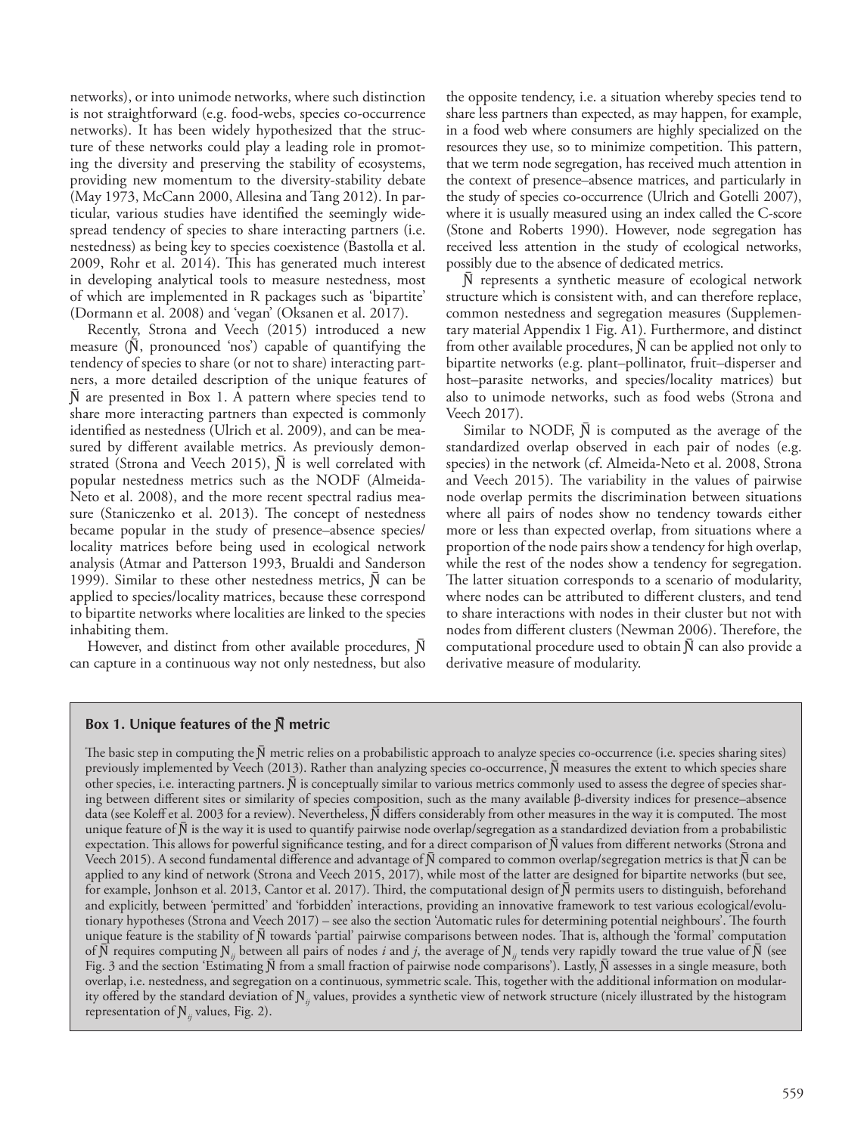networks), or into unimode networks, where such distinction is not straightforward (e.g. food-webs, species co-occurrence networks). It has been widely hypothesized that the structure of these networks could play a leading role in promoting the diversity and preserving the stability of ecosystems, providing new momentum to the diversity-stability debate (May 1973, McCann 2000, Allesina and Tang 2012). In particular, various studies have identified the seemingly widespread tendency of species to share interacting partners (i.e. nestedness) as being key to species coexistence (Bastolla et al. 2009, Rohr et al. 2014). This has generated much interest in developing analytical tools to measure nestedness, most of which are implemented in R packages such as 'bipartite' (Dormann et al. 2008) and 'vegan' (Oksanen et al. 2017).

Recently, Strona and Veech (2015) introduced a new measure  $(\bar{N},$  pronounced 'nos') capable of quantifying the tendency of species to share (or not to share) interacting partners, a more detailed description of the unique features of N are presented in Box 1. A pattern where species tend to share more interacting partners than expected is commonly identified as nestedness (Ulrich et al. 2009), and can be measured by different available metrics. As previously demonstrated (Strona and Veech 2015),  $\bar{N}$  is well correlated with popular nestedness metrics such as the NODF (Almeida-Neto et al. 2008), and the more recent spectral radius measure (Staniczenko et al. 2013). The concept of nestedness became popular in the study of presence–absence species/ locality matrices before being used in ecological network analysis (Atmar and Patterson 1993, Brualdi and Sanderson 1999). Similar to these other nestedness metrics,  $\bar{N}$  can be applied to species/locality matrices, because these correspond to bipartite networks where localities are linked to the species inhabiting them.

However, and distinct from other available procedures,  $\bar{N}$ can capture in a continuous way not only nestedness, but also the opposite tendency, i.e. a situation whereby species tend to share less partners than expected, as may happen, for example, in a food web where consumers are highly specialized on the resources they use, so to minimize competition. This pattern, that we term node segregation, has received much attention in the context of presence–absence matrices, and particularly in the study of species co-occurrence (Ulrich and Gotelli 2007), where it is usually measured using an index called the C-score (Stone and Roberts 1990). However, node segregation has received less attention in the study of ecological networks, possibly due to the absence of dedicated metrics.

N represents a synthetic measure of ecological network structure which is consistent with, and can therefore replace, common nestedness and segregation measures (Supplementary material Appendix 1 Fig. A1). Furthermore, and distinct from other available procedures,  $\bar{N}$  can be applied not only to bipartite networks (e.g. plant–pollinator, fruit–disperser and host–parasite networks, and species/locality matrices) but also to unimode networks, such as food webs (Strona and Veech 2017).

Similar to NODF,  $\bar{N}$  is computed as the average of the standardized overlap observed in each pair of nodes (e.g. species) in the network (cf. Almeida-Neto et al. 2008, Strona and Veech 2015). The variability in the values of pairwise node overlap permits the discrimination between situations where all pairs of nodes show no tendency towards either more or less than expected overlap, from situations where a proportion of the node pairs show a tendency for high overlap, while the rest of the nodes show a tendency for segregation. The latter situation corresponds to a scenario of modularity, where nodes can be attributed to different clusters, and tend to share interactions with nodes in their cluster but not with nodes from different clusters (Newman 2006). Therefore, the computational procedure used to obtain  $\overline{N}$  can also provide a derivative measure of modularity.

#### **Box 1. Unique features of the**  $\bar{N}$  **metric**

The basic step in computing the  $\bar{N}$  metric relies on a probabilistic approach to analyze species co-occurrence (i.e. species sharing sites) previously implemented by Veech (2013). Rather than analyzing species co-occurrence,  $\bar{N}$  measures the extent to which species share other species, i.e. interacting partners.  $\bar{N}$  is conceptually similar to various metrics commonly used to assess the degree of species sharing between different sites or similarity of species composition, such as the many available β-diversity indices for presence–absence data (see Koleff et al. 2003 for a review). Nevertheless,  $\tilde{N}$  differs considerably from other measures in the way it is computed. The most unique feature of  $\bar{N}$  is the way it is used to quantify pairwise node overlap/segregation as a standardized deviation from a probabilistic expectation. This allows for powerful significance testing, and for a direct comparison of  $\bar{N}$  values from different networks (Strona and Veech 2015). A second fundamental difference and advantage of  $\bar{N}$  compared to common overlap/segregation metrics is that  $\bar{N}$  can be applied to any kind of network (Strona and Veech 2015, 2017), while most of the latter are designed for bipartite networks (but see, for example, Jonhson et al. 2013, Cantor et al. 2017). Third, the computational design of  $\bar{N}$  permits users to distinguish, beforehand and explicitly, between 'permitted' and 'forbidden' interactions, providing an innovative framework to test various ecological/evolutionary hypotheses (Strona and Veech 2017) – see also the section 'Automatic rules for determining potential neighbours'. The fourth unique feature is the stability of  $\bar{N}$  towards 'partial' pairwise comparisons between nodes. That is, although the 'formal' computation of  $\bar{N}$  requires computing  $N_i$  between all pairs of nodes *i* and *j*, the average of  $N_i$  tends very rapidly toward the true value of  $\bar{N}$  (see Fig. 3 and the section 'Estimating  $\bar{N}$  from a small fraction of pairwise node comparisons'). Lastly,  $\bar{N}$  assesses in a single measure, both overlap, i.e. nestedness, and segregation on a continuous, symmetric scale. This, together with the additional information on modularity offered by the standard deviation of  $N_{ii}$  values, provides a synthetic view of network structure (nicely illustrated by the histogram representation of  $N_{ii}$  values, Fig. 2).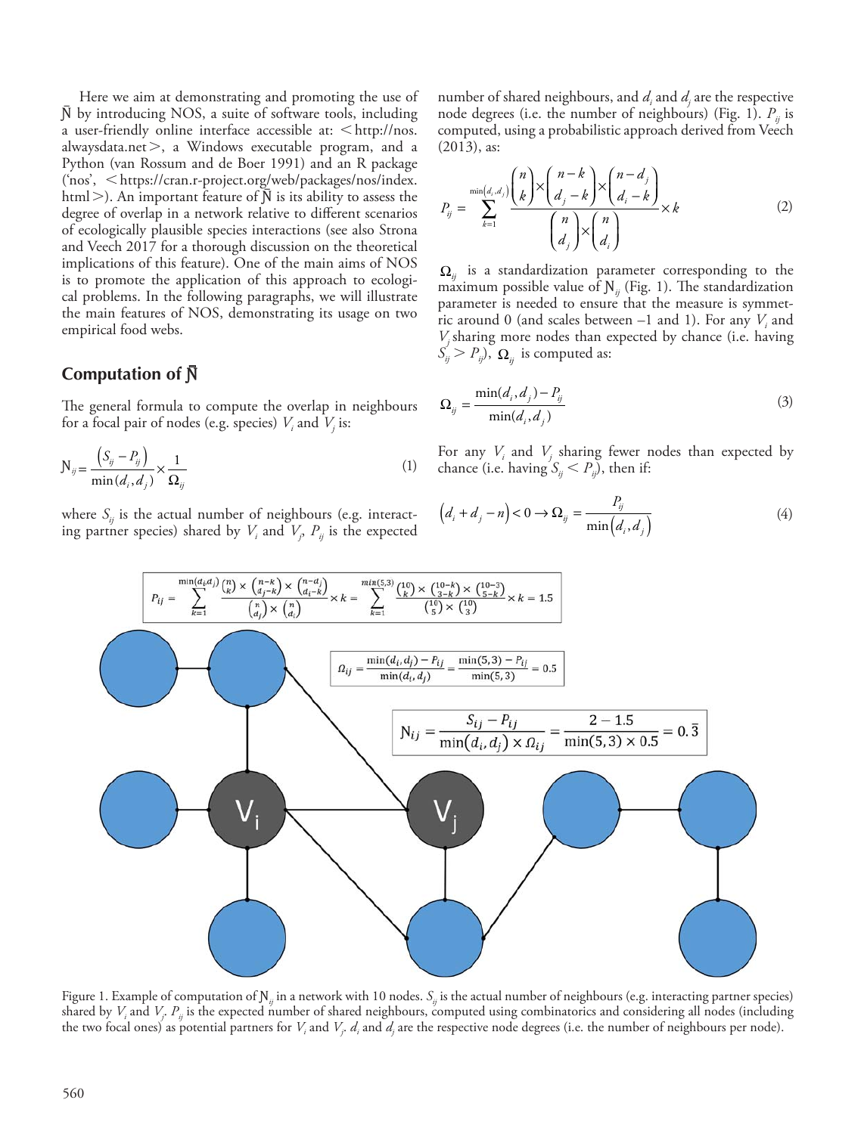Here we aim at demonstrating and promoting the use of  $\bar{N}$  by introducing NOS, a suite of software tools, including a user-friendly online interface accessible at:  $\langle \text{http://nos.} \rangle$ alwaysdata.net $>$ , a Windows executable program, and a Python (van Rossum and de Boer 1991) and an R package ('nos', < https://cran.r-project.org/web/packages/nos/index. html>). An important feature of  $\bar{N}$  is its ability to assess the degree of overlap in a network relative to different scenarios of ecologically plausible species interactions (see also Strona and Veech 2017 for a thorough discussion on the theoretical implications of this feature). One of the main aims of NOS is to promote the application of this approach to ecological problems. In the following paragraphs, we will illustrate the main features of NOS, demonstrating its usage on two empirical food webs.

#### **Computation of**  $\bar{N}$

The general formula to compute the overlap in neighbours for a focal pair of nodes (e.g. species)  $V_i$  and  $V_j$  is:

$$
N_{ij} = \frac{(S_{ij} - P_{ij})}{\min(d_i, d_j)} \times \frac{1}{\Omega_{ij}}
$$
\n(1)

where  $S_{ii}$  is the actual number of neighbours (e.g. interacting partner species) shared by  $V_i$  and  $V_j$ ,  $P_{ij}$  is the expected number of shared neighbours, and  $d_i$  and  $d_j$  are the respective node degrees (i.e. the number of neighbours) (Fig. 1).  $P_{ij}$  is computed, using a probabilistic approach derived from Veech (2013), as:

$$
P_{ij} = \sum_{k=1}^{\min(d_i, d_j)} \frac{\binom{n}{k} \times \binom{n-k}{d_j - k} \times \binom{n-d_j}{d_i - k}}{\binom{n}{d_j} \times \binom{n}{d_i}} \times k \tag{2}
$$

 $\Omega_{ii}$  is a standardization parameter corresponding to the maximum possible value of  $N_{ij}$  (Fig. 1). The standardization parameter is needed to ensure that the measure is symmetric around 0 (and scales between  $-1$  and 1). For any  $V_i$  and *Vj* sharing more nodes than expected by chance (i.e. having  $S'_{ij} > P_{ij}$ ,  $\Omega_{ij}$  is computed as:

$$
\Omega_{ij} = \frac{\min(d_i, d_j) - P_{ij}}{\min(d_i, d_j)}
$$
\n(3)

For any  $V_i$  and  $V_j$  sharing fewer nodes than expected by chance (i.e. having  $S_{ii} < P_{ii}$ ), then if:

$$
\left(d_i + d_j - n\right) < 0 \to \Omega_{ij} = \frac{P_{ij}}{\min\left(d_i, d_j\right)}\tag{4}
$$



Figure 1. Example of computation of N<sub>*ii*</sub> in a network with 10 nodes.  $S_i$  is the actual number of neighbours (e.g. interacting partner species) shared by  $V_i$  and  $V_j$ .  $P_{ij}$  is the expected number of shared neighbours, computed using combinatorics and considering all nodes (including the two focal ones) as potential partners for  $V_i$  and  $V_j$ .  $d_i$  and  $d_j$  are the respective node degrees (i.e. the number of neighbours per node).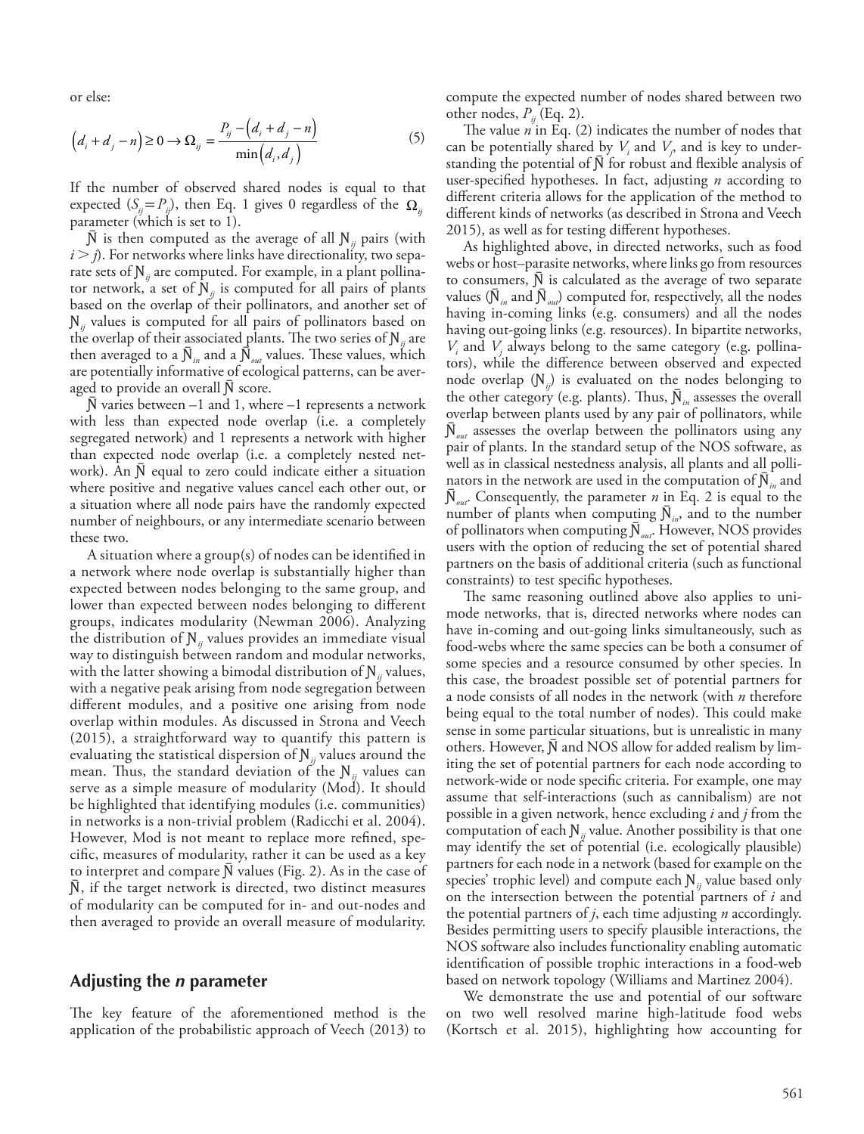or else:

$$
\left(d_i + d_j - n\right) \ge 0 \to \Omega_{ij} = \frac{P_{ij} - \left(d_i + d_j - n\right)}{\min\left(d_i, d_j\right)}
$$
\n<sup>(5)</sup>

If the number of observed shared nodes is equal to that expected  $(S_{ii} = P_{ii})$ , then Eq. 1 gives 0 regardless of the  $\Omega_{ii}$ parameter (which is set to 1).

 $\bar{N}$  is then computed as the average of all  $N_{ii}$  pairs (with  $i > j$ ). For networks where links have directionality, two separate sets of  $N_{ii}$  are computed. For example, in a plant pollinator network, a set of  $N_{ii}$  is computed for all pairs of plants based on the overlap of their pollinators, and another set of  $N_{ii}$  values is computed for all pairs of pollinators based on the overlap of their associated plants. The two series of  $N_{ii}$  are then averaged to a  $\overline{N}_{in}$  and a  $\overline{N}_{out}$  values. These values, which are potentially informative of ecological patterns, can be averaged to provide an overall N score.

 $N$  varies between  $-1$  and 1, where  $-1$  represents a network with less than expected node overlap (i.e. a completely segregated network) and 1 represents a network with higher than expected node overlap (i.e. a completely nested network). An N equal to zero could indicate either a situation where positive and negative values cancel each other out, or a situation where all node pairs have the randomly expected number of neighbours, or any intermediate scenario between these two.

A situation where a group(s) of nodes can be identified in a network where node overlap is substantially higher than expected between nodes belonging to the same group, and lower than expected between nodes belonging to different groups, indicates modularity (Newman 2006). Analyzing the distribution of  $N_{ii}$  values provides an immediate visual way to distinguish between random and modular networks, with the latter showing a bimodal distribution of  $N_{ii}$  values, with a negative peak arising from node segregation between different modules, and a positive one arising from node overlap within modules. As discussed in Strona and Veech (2015), a straightforward way to quantify this pattern is evaluating the statistical dispersion of  $N_{ii}$  values around the mean. Thus, the standard deviation of the  $N_{ii}$  values can serve as a simple measure of modularity (Mod). It should be highlighted that identifying modules (i.e. communities) in networks is a non-trivial problem (Radicchi et al. 2004). However, Mod is not meant to replace more refined, specific, measures of modularity, rather it can be used as a key to interpret and compare  $N$  values (Fig. 2). As in the case of N, if the target network is directed, two distinct measures of modularity can be computed for in- and out-nodes and then averaged to provide an overall measure of modularity.

#### **Adjusting the** *n* **parameter**

The key feature of the aforementioned method is the application of the probabilistic approach of Veech (2013) to compute the expected number of nodes shared between two other nodes,  $P_{ij}$  (Eq. 2).

The value *n* in Eq. (2) indicates the number of nodes that can be potentially shared by  $V_i$  and  $V_j$ , and is key to understanding the potential of  $\bar{N}$  for robust and flexible analysis of user-specified hypotheses. In fact, adjusting *n* according to different criteria allows for the application of the method to different kinds of networks (as described in Strona and Veech 2015), as well as for testing different hypotheses.

As highlighted above, in directed networks, such as food webs or host–parasite networks, where links go from resources to consumers,  $\overline{N}$  is calculated as the average of two separate values ( $\overline{N}_{in}$  and  $\overline{N}_{out}$ ) computed for, respectively, all the nodes having in-coming links (e.g. consumers) and all the nodes having out-going links (e.g. resources). In bipartite networks,  $V_i$  and  $V_j$  always belong to the same category (e.g. pollinators), while the difference between observed and expected node overlap  $(N_{ij})$  is evaluated on the nodes belonging to the other category (e.g. plants). Thus,  $N_{in}$  assesses the overall overlap between plants used by any pair of pollinators, while  $N_{out}$  assesses the overlap between the pollinators using any pair of plants. In the standard setup of the NOS software, as well as in classical nestedness analysis, all plants and all pollinators in the network are used in the computation of  $N_{in}$  and  $\mathcal{N}_{out}$ . Consequently, the parameter *n* in Eq. 2 is equal to the number of plants when computing  $N_{in}$ , and to the number of pollinators when computing  $\overline{N}_{out}$ . However, NOS provides users with the option of reducing the set of potential shared partners on the basis of additional criteria (such as functional constraints) to test specific hypotheses.

The same reasoning outlined above also applies to unimode networks, that is, directed networks where nodes can have in-coming and out-going links simultaneously, such as food-webs where the same species can be both a consumer of some species and a resource consumed by other species. In this case, the broadest possible set of potential partners for a node consists of all nodes in the network (with *n* therefore being equal to the total number of nodes). This could make sense in some particular situations, but is unrealistic in many others. However, N and NOS allow for added realism by limiting the set of potential partners for each node according to network-wide or node specific criteria. For example, one may assume that self-interactions (such as cannibalism) are not possible in a given network, hence excluding *i* and *j* from the computation of each  $N_{ij}$  value. Another possibility is that one may identify the set of potential (i.e. ecologically plausible) partners for each node in a network (based for example on the species' trophic level) and compute each  $N_{ii}$  value based only on the intersection between the potential partners of *i* and the potential partners of *j*, each time adjusting *n* accordingly. Besides permitting users to specify plausible interactions, the NOS software also includes functionality enabling automatic identification of possible trophic interactions in a food-web based on network topology (Williams and Martinez 2004).

We demonstrate the use and potential of our software on two well resolved marine high-latitude food webs (Kortsch et al. 2015), highlighting how accounting for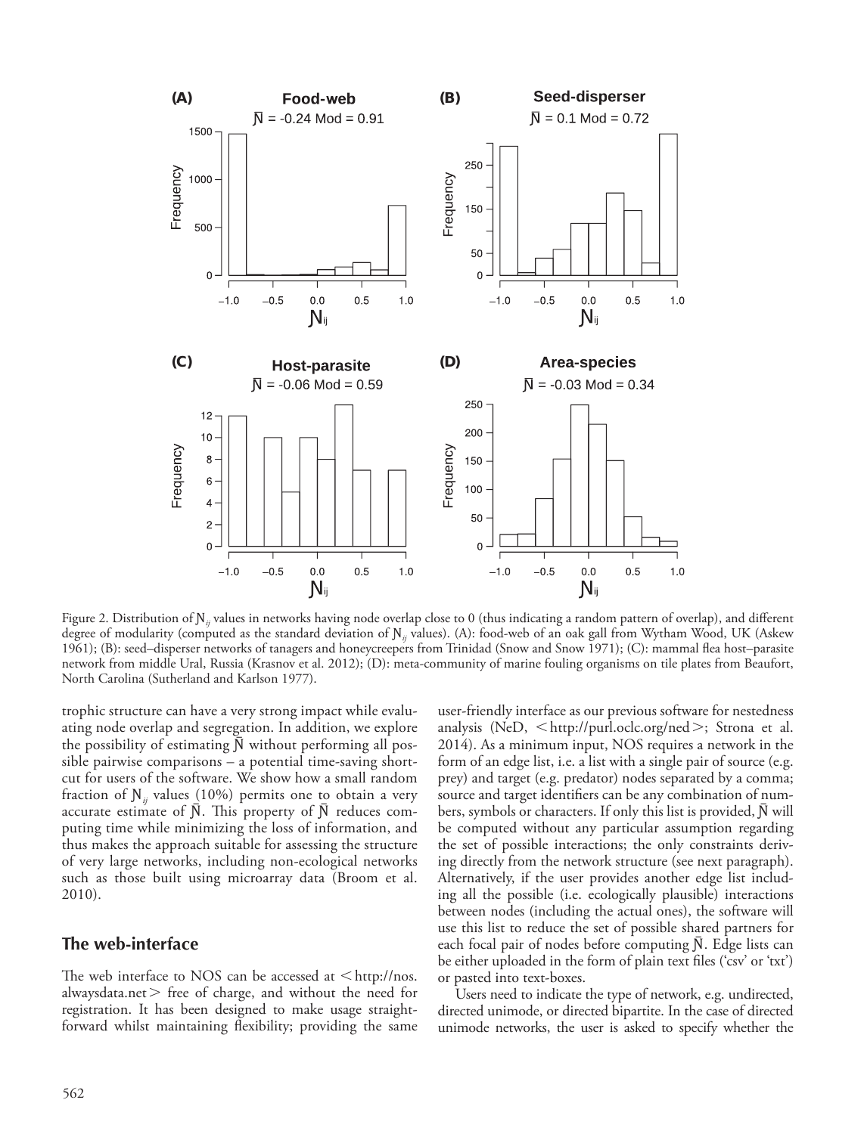

Figure 2. Distribution of  $N_i$  values in networks having node overlap close to 0 (thus indicating a random pattern of overlap), and different degree of modularity (computed as the standard deviation of N<sub>*ii*</sub> values). (A): food-web of an oak gall from Wytham Wood, UK (Askew 1961); (B): seed–disperser networks of tanagers and honeycreepers from Trinidad (Snow and Snow 1971); (C): mammal flea host–parasite network from middle Ural, Russia (Krasnov et al. 2012); (D): meta-community of marine fouling organisms on tile plates from Beaufort, North Carolina (Sutherland and Karlson 1977).

trophic structure can have a very strong impact while evaluating node overlap and segregation. In addition, we explore the possibility of estimating  $\bar{N}$  without performing all possible pairwise comparisons – a potential time-saving shortcut for users of the software. We show how a small random fraction of  $N_{ii}$  values (10%) permits one to obtain a very accurate estimate of  $\bar{N}$ . This property of  $\bar{N}$  reduces computing time while minimizing the loss of information, and thus makes the approach suitable for assessing the structure of very large networks, including non-ecological networks such as those built using microarray data (Broom et al. 2010).

#### **The web-interface**

The web interface to NOS can be accessed at  $\lt$ http://nos. alwaysdata.net  $>$  free of charge, and without the need for registration. It has been designed to make usage straightforward whilst maintaining flexibility; providing the same

user-friendly interface as our previous software for nestedness analysis (NeD,  $\leq$ http://purl.oclc.org/ned $\geq$ ; Strona et al. 2014). As a minimum input, NOS requires a network in the form of an edge list, i.e. a list with a single pair of source (e.g. prey) and target (e.g. predator) nodes separated by a comma; source and target identifiers can be any combination of numbers, symbols or characters. If only this list is provided, N will be computed without any particular assumption regarding the set of possible interactions; the only constraints deriving directly from the network structure (see next paragraph). Alternatively, if the user provides another edge list including all the possible (i.e. ecologically plausible) interactions between nodes (including the actual ones), the software will use this list to reduce the set of possible shared partners for each focal pair of nodes before computing  $\overline{N}$ . Edge lists can be either uploaded in the form of plain text files ('csv' or 'txt') or pasted into text-boxes.

Users need to indicate the type of network, e.g. undirected, directed unimode, or directed bipartite. In the case of directed unimode networks, the user is asked to specify whether the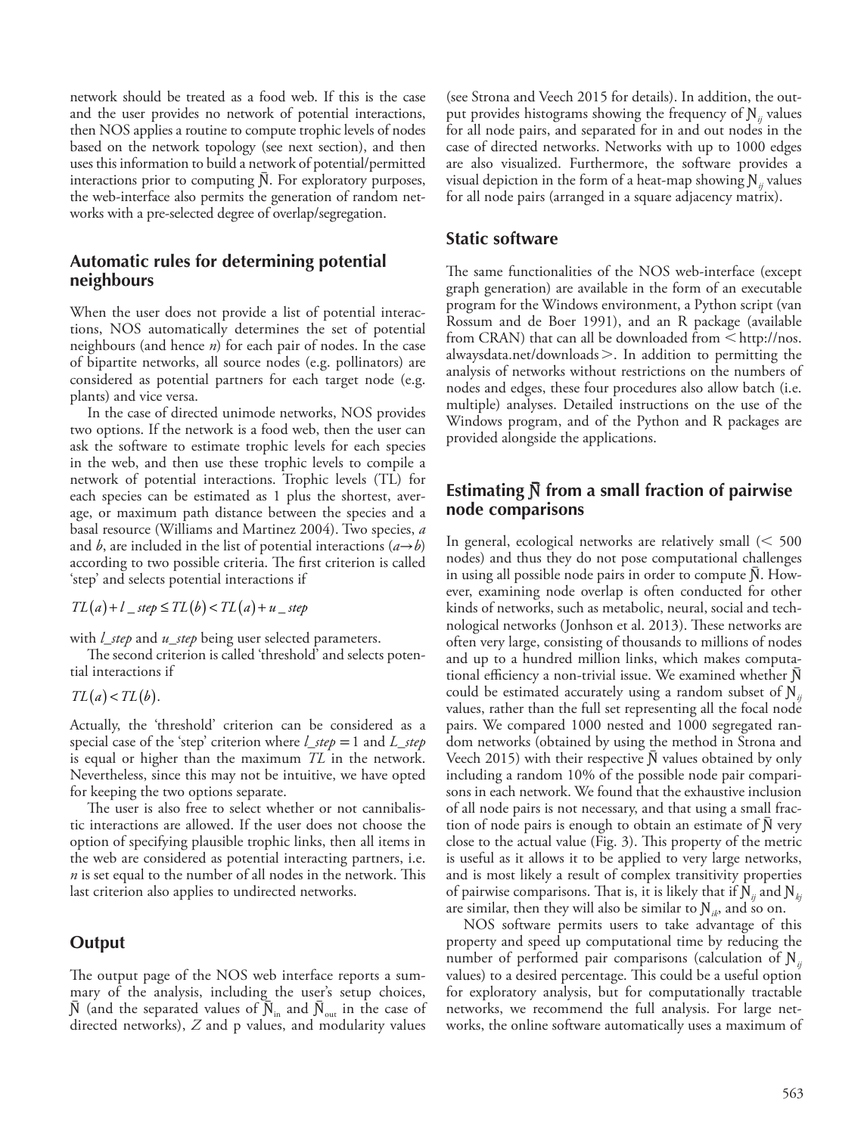network should be treated as a food web. If this is the case and the user provides no network of potential interactions, then NOS applies a routine to compute trophic levels of nodes based on the network topology (see next section), and then uses this information to build a network of potential/permitted interactions prior to computing N. For exploratory purposes, the web-interface also permits the generation of random networks with a pre-selected degree of overlap/segregation.

#### **Automatic rules for determining potential neighbours**

When the user does not provide a list of potential interactions, NOS automatically determines the set of potential neighbours (and hence *n*) for each pair of nodes. In the case of bipartite networks, all source nodes (e.g. pollinators) are considered as potential partners for each target node (e.g. plants) and vice versa.

In the case of directed unimode networks, NOS provides two options. If the network is a food web, then the user can ask the software to estimate trophic levels for each species in the web, and then use these trophic levels to compile a network of potential interactions. Trophic levels (TL) for each species can be estimated as 1 plus the shortest, average, or maximum path distance between the species and a basal resource (Williams and Martinez 2004). Two species, *a* and *b*, are included in the list of potential interactions  $(a \rightarrow b)$ according to two possible criteria. The first criterion is called 'step' and selects potential interactions if

 $TL(a) + l$  *\_ step*  $\leq TL(b) < TL(a) + u$  *\_ step* 

with *l\_step* and *u\_step* being user selected parameters.

The second criterion is called 'threshold' and selects potential interactions if

 $TL(a) < TL(b).$ 

Actually, the 'threshold' criterion can be considered as a special case of the 'step' criterion where *l\_step* =1 and *L\_step* is equal or higher than the maximum *TL* in the network. Nevertheless, since this may not be intuitive, we have opted for keeping the two options separate.

The user is also free to select whether or not cannibalistic interactions are allowed. If the user does not choose the option of specifying plausible trophic links, then all items in the web are considered as potential interacting partners, i.e. *n* is set equal to the number of all nodes in the network. This last criterion also applies to undirected networks.

#### **Output**

The output page of the NOS web interface reports a summary of the analysis, including the user's setup choices,  $\bar{N}$  (and the separated values of  $\bar{N}_{in}$  and  $\bar{N}_{out}$  in the case of directed networks), *Z* and p values, and modularity values (see Strona and Veech 2015 for details). In addition, the output provides histograms showing the frequency of Ɲ*ij* values for all node pairs, and separated for in and out nodes in the case of directed networks. Networks with up to 1000 edges are also visualized. Furthermore, the software provides a visual depiction in the form of a heat-map showing N<sub>*ii*</sub> values for all node pairs (arranged in a square adjacency matrix).

#### **Static software**

The same functionalities of the NOS web-interface (except graph generation) are available in the form of an executable program for the Windows environment, a Python script (van Rossum and de Boer 1991), and an R package (available from CRAN) that can all be downloaded from  $\leq$  http://nos. alwaysdata.net/downloads $>$ . In addition to permitting the analysis of networks without restrictions on the numbers of nodes and edges, these four procedures also allow batch (i.e. multiple) analyses. Detailed instructions on the use of the Windows program, and of the Python and R packages are provided alongside the applications.

#### **Estimating**  $\bar{N}$  **from a small fraction of pairwise node comparisons**

In general, ecological networks are relatively small  $\leq 500$ nodes) and thus they do not pose computational challenges in using all possible node pairs in order to compute  $\bar{N}$ . However, examining node overlap is often conducted for other kinds of networks, such as metabolic, neural, social and technological networks (Jonhson et al. 2013). These networks are often very large, consisting of thousands to millions of nodes and up to a hundred million links, which makes computational efficiency a non-trivial issue. We examined whether  $\bar{N}$ could be estimated accurately using a random subset of  $\mathbf{N}_{ii}$ values, rather than the full set representing all the focal node pairs. We compared 1000 nested and 1000 segregated random networks (obtained by using the method in Strona and Veech 2015) with their respective  $\tilde{N}$  values obtained by only including a random 10% of the possible node pair comparisons in each network. We found that the exhaustive inclusion of all node pairs is not necessary, and that using a small fraction of node pairs is enough to obtain an estimate of  $N$  very close to the actual value (Fig. 3). This property of the metric is useful as it allows it to be applied to very large networks, and is most likely a result of complex transitivity properties of pairwise comparisons. That is, it is likely that if  $N_{ii}$  and  $N_{ki}$ are similar, then they will also be similar to  $\mathbb{N}_{ik}$ , and so on.

NOS software permits users to take advantage of this property and speed up computational time by reducing the number of performed pair comparisons (calculation of  $N_{ii}$ ) values) to a desired percentage. This could be a useful option for exploratory analysis, but for computationally tractable networks, we recommend the full analysis. For large networks, the online software automatically uses a maximum of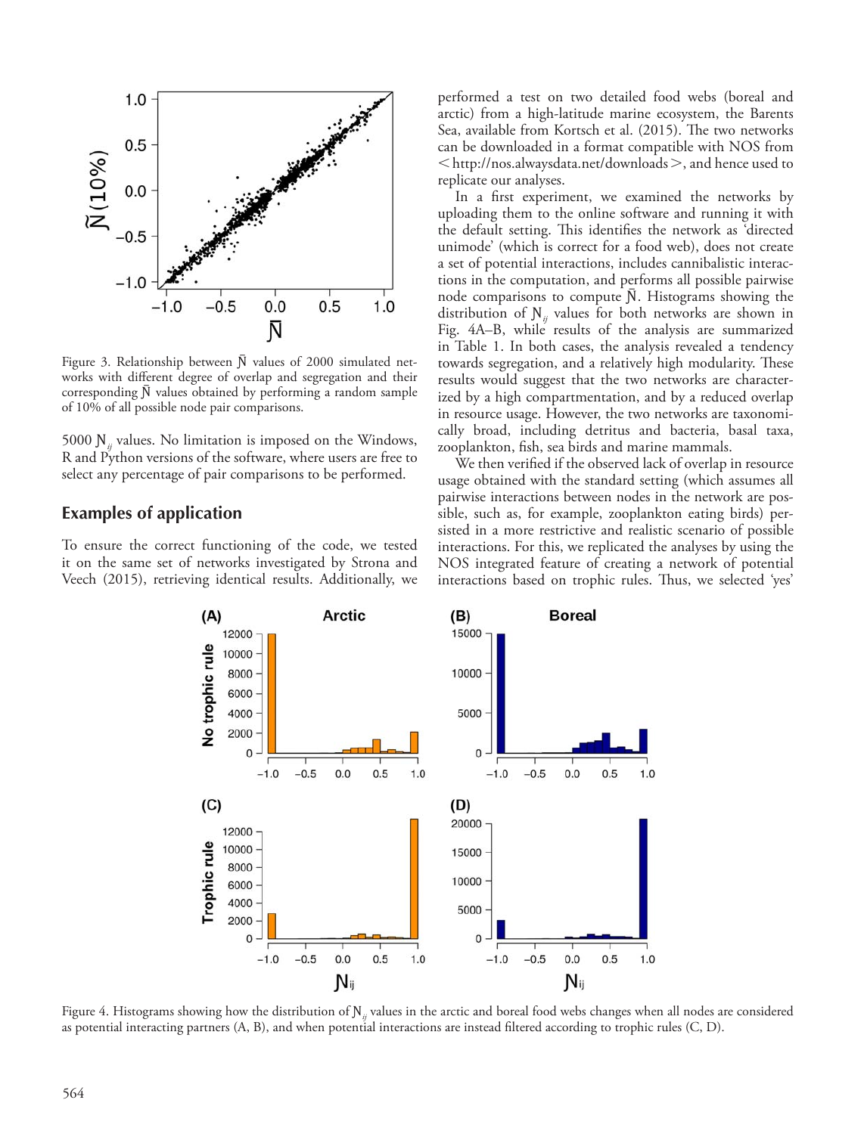

Figure 3. Relationship between  $\bar{N}$  values of 2000 simulated networks with different degree of overlap and segregation and their corresponding  $\bar{N}$  values obtained by performing a random sample of 10% of all possible node pair comparisons.

5000 N<sub>*ii*</sub> values. No limitation is imposed on the Windows, R and Python versions of the software, where users are free to select any percentage of pair comparisons to be performed.

#### **Examples of application**

To ensure the correct functioning of the code, we tested it on the same set of networks investigated by Strona and Veech (2015), retrieving identical results. Additionally, we performed a test on two detailed food webs (boreal and arctic) from a high-latitude marine ecosystem, the Barents Sea, available from Kortsch et al. (2015). The two networks can be downloaded in a format compatible with NOS from  $\langle h_{\text{t}}/h_{\text{t}}/h_{\text{t}}/h_{\text{t}}/h_{\text{t}}/h_{\text{t}}/h_{\text{t}}/h_{\text{t}}/h_{\text{t}}/h_{\text{t}}/h_{\text{t}}/h_{\text{t}}/h_{\text{t}}/h_{\text{t}}/h_{\text{t}}/h_{\text{t}}/h_{\text{t}}/h_{\text{t}}/h_{\text{t}}/h_{\text{t}}/h_{\text{t}}/h_{\text{t}}/h_{\text{t}}/h_{\text{t}}/h_{\text{t}}/h_{\text{t}}/h_{\text{t}}/h_{$ replicate our analyses.

In a first experiment, we examined the networks by uploading them to the online software and running it with the default setting. This identifies the network as 'directed unimode' (which is correct for a food web), does not create a set of potential interactions, includes cannibalistic interactions in the computation, and performs all possible pairwise node comparisons to compute N. Histograms showing the distribution of  $N_{ii}$  values for both networks are shown in Fig. 4A–B, while results of the analysis are summarized in Table 1. In both cases, the analysis revealed a tendency towards segregation, and a relatively high modularity. These results would suggest that the two networks are characterized by a high compartmentation, and by a reduced overlap in resource usage. However, the two networks are taxonomically broad, including detritus and bacteria, basal taxa, zooplankton, fish, sea birds and marine mammals.

We then verified if the observed lack of overlap in resource usage obtained with the standard setting (which assumes all pairwise interactions between nodes in the network are possible, such as, for example, zooplankton eating birds) persisted in a more restrictive and realistic scenario of possible interactions. For this, we replicated the analyses by using the NOS integrated feature of creating a network of potential interactions based on trophic rules. Thus, we selected 'yes'



Figure 4. Histograms showing how the distribution of N<sub>*ii*</sub> values in the arctic and boreal food webs changes when all nodes are considered as potential interacting partners (A, B), and when potential interactions are instead filtered according to trophic rules (C, D).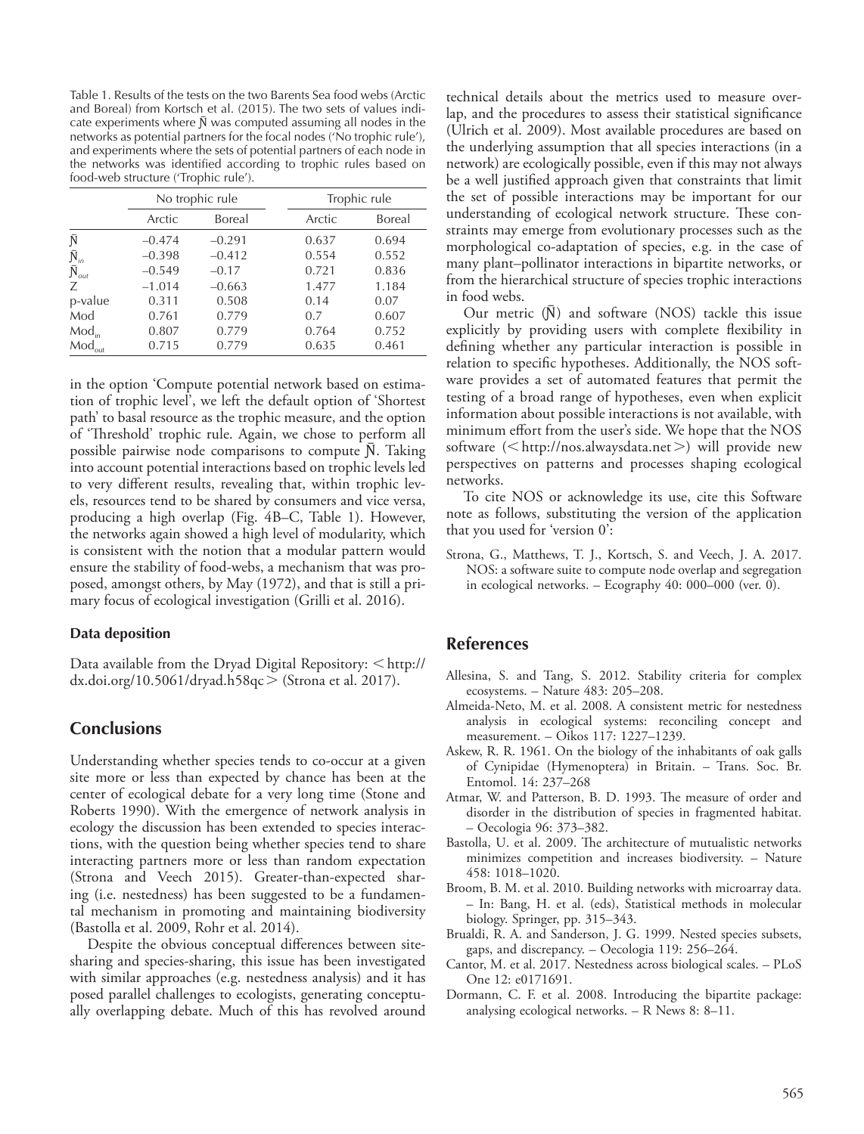Table 1. Results of the tests on the two Barents Sea food webs (Arctic and Boreal) from Kortsch et al. (2015). The two sets of values indicate experiments where  $\bar{N}$  was computed assuming all nodes in the networks as potential partners for the focal nodes ('No trophic rule'), and experiments where the sets of potential partners of each node in the networks was identified according to trophic rules based on food-web structure ('Trophic rule').

|                         | No trophic rule |          | Trophic rule |        |
|-------------------------|-----------------|----------|--------------|--------|
|                         | Arctic          | Boreal   | Arctic       | Boreal |
| Ñ                       | $-0.474$        | $-0.291$ | 0.637        | 0.694  |
| $\bar{\mathrm{N}}_{in}$ | $-0.398$        | $-0.412$ | 0.554        | 0.552  |
| $\bar{\rm N}_{\rm out}$ | $-0.549$        | $-0.17$  | 0.721        | 0.836  |
| Ζ                       | $-1.014$        | $-0.663$ | 1.477        | 1.184  |
| p-value                 | 0.311           | 0.508    | 0.14         | 0.07   |
| Mod                     | 0.761           | 0.779    | 0.7          | 0.607  |
| $Mod_{in}$              | 0.807           | 0.779    | 0.764        | 0.752  |
| $Mod_{out}$             | 0.715           | 0.779    | 0.635        | 0.461  |

in the option 'Compute potential network based on estimation of trophic level', we left the default option of 'Shortest path' to basal resource as the trophic measure, and the option of 'Threshold' trophic rule. Again, we chose to perform all possible pairwise node comparisons to compute  $\bar{N}$ . Taking into account potential interactions based on trophic levels led to very different results, revealing that, within trophic levels, resources tend to be shared by consumers and vice versa, producing a high overlap (Fig. 4B–C, Table 1). However, the networks again showed a high level of modularity, which is consistent with the notion that a modular pattern would ensure the stability of food-webs, a mechanism that was proposed, amongst others, by May (1972), and that is still a primary focus of ecological investigation (Grilli et al. 2016).

#### **Data deposition**

Data available from the Dryad Digital Repository:  $\leq$ http:// dx.doi.org/10.5061/dryad.h58qc  $>$  (Strona et al. 2017).

#### **Conclusions**

Understanding whether species tends to co-occur at a given site more or less than expected by chance has been at the center of ecological debate for a very long time (Stone and Roberts 1990). With the emergence of network analysis in ecology the discussion has been extended to species interactions, with the question being whether species tend to share interacting partners more or less than random expectation (Strona and Veech 2015). Greater-than-expected sharing (i.e. nestedness) has been suggested to be a fundamental mechanism in promoting and maintaining biodiversity (Bastolla et al. 2009, Rohr et al. 2014).

Despite the obvious conceptual differences between sitesharing and species-sharing, this issue has been investigated with similar approaches (e.g. nestedness analysis) and it has posed parallel challenges to ecologists, generating conceptually overlapping debate. Much of this has revolved around

technical details about the metrics used to measure overlap, and the procedures to assess their statistical significance (Ulrich et al. 2009). Most available procedures are based on the underlying assumption that all species interactions (in a network) are ecologically possible, even if this may not always be a well justified approach given that constraints that limit the set of possible interactions may be important for our understanding of ecological network structure. These constraints may emerge from evolutionary processes such as the morphological co-adaptation of species, e.g. in the case of many plant–pollinator interactions in bipartite networks, or from the hierarchical structure of species trophic interactions in food webs.

Our metric  $(\overline{N})$  and software (NOS) tackle this issue explicitly by providing users with complete flexibility in defining whether any particular interaction is possible in relation to specific hypotheses. Additionally, the NOS software provides a set of automated features that permit the testing of a broad range of hypotheses, even when explicit information about possible interactions is not available, with minimum effort from the user's side. We hope that the NOS software  $(<$  http://nos.alwaysdata.net >) will provide new perspectives on patterns and processes shaping ecological networks.

To cite NOS or acknowledge its use, cite this Software note as follows, substituting the version of the application that you used for 'version 0':

Strona, G., Matthews, T. J., Kortsch, S. and Veech, J. A. 2017. NOS: a software suite to compute node overlap and segregation in ecological networks. – Ecography 40: 000–000 (ver. 0).

#### **References**

- Allesina, S. and Tang, S. 2012. Stability criteria for complex ecosystems. – Nature 483: 205–208.
- Almeida-Neto, M. et al. 2008. A consistent metric for nestedness analysis in ecological systems: reconciling concept and measurement. – Oikos 117: 1227–1239.
- Askew, R. R. 1961. On the biology of the inhabitants of oak galls of Cynipidae (Hymenoptera) in Britain. – Trans. Soc. Br. Entomol. 14: 237–268
- Atmar, W. and Patterson, B. D. 1993. The measure of order and disorder in the distribution of species in fragmented habitat. – Oecologia 96: 373–382.
- Bastolla, U. et al. 2009. The architecture of mutualistic networks minimizes competition and increases biodiversity. – Nature 458: 1018–1020.
- Broom, B. M. et al. 2010. Building networks with microarray data. – In: Bang, H. et al. (eds), Statistical methods in molecular biology. Springer, pp. 315–343.
- Brualdi, R. A. and Sanderson, J. G. 1999. Nested species subsets, gaps, and discrepancy. – Oecologia 119: 256–264.
- Cantor, M. et al. 2017. Nestedness across biological scales. PLoS One 12: e0171691.
- Dormann, C. F. et al. 2008. Introducing the bipartite package: analysing ecological networks. – R News 8: 8–11.